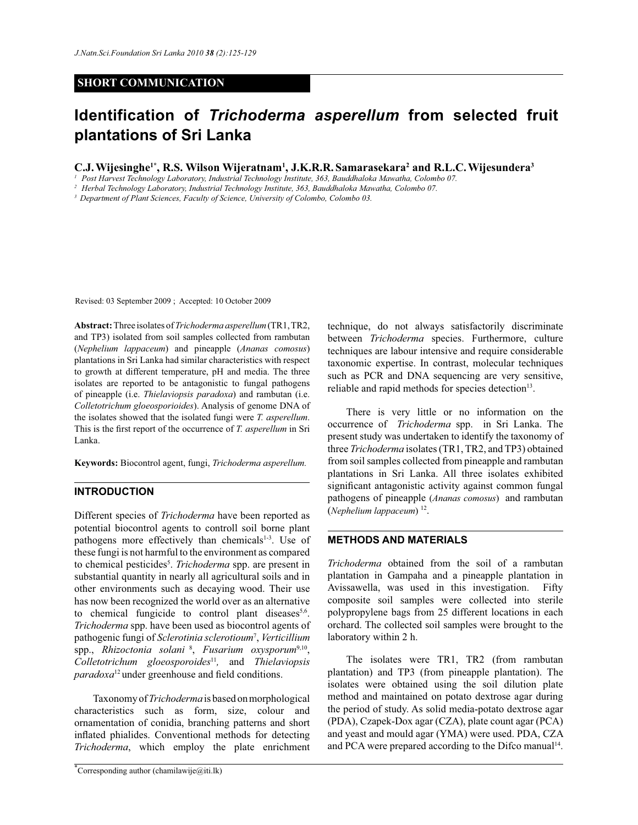# **SHORT COMMUNICATION**

# **Identification of** *Trichoderma asperellum* **from selected fruit plantations of Sri Lanka**

**C.J.Wijesinghe1\*, R.S. Wilson Wijeratnam<sup>1</sup> , J.K.R.R. Samarasekara<sup>2</sup> and R.L.C.Wijesundera<sup>3</sup>**

*1 Post Harvest Technology Laboratory, Industrial Technology Institute, 363, Bauddhaloka Mawatha, Colombo 07.*

*2 Herbal Technology Laboratory, Industrial Technology Institute, 363, Bauddhaloka Mawatha, Colombo 07.*

*<sup>3</sup>Department of Plant Sciences, Faculty of Science, University of Colombo, Colombo 03.*

Revised: 03 September 2009 ; Accepted: 10 October 2009

**Abstract:** Three isolates of *Trichoderma asperellum* (TR1, TR2, and TP3) isolated from soil samples collected from rambutan (*Nephelium lappaceum*) and pineapple (*Ananas comosus*) plantations in Sri Lanka had similar characteristics with respect to growth at different temperature, pH and media. The three isolates are reported to be antagonistic to fungal pathogens of pineapple (i.e. *Thielaviopsis paradoxa*) and rambutan (i.e. *Colletotrichum gloeosporioides*). Analysis of genome DNA of the isolates showed that the isolated fungi were *T. asperellum*. This is the first report of the occurrence of *T. asperellum* in Sri Lanka.

**Keywords:** Biocontrol agent, fungi, *Trichoderma asperellum.*

#### **INTRODUCTION**

Different species of *Trichoderma* have been reported as potential biocontrol agents to controll soil borne plant pathogens more effectively than chemicals<sup>1-3</sup>. Use of these fungi is not harmful to the environment as compared to chemical pesticides<sup>5</sup>. *Trichoderma* spp. are present in substantial quantity in nearly all agricultural soils and in other environments such as decaying wood. Their use has now been recognized the world over as an alternative to chemical fungicide to control plant diseases<sup>5,6</sup>. *Trichoderma* spp. have been used as biocontrol agents of pathogenic fungi of *Sclerotinia sclerotioum*<sup>7</sup> , *Verticillium* spp., *Rhizoctonia solani*<sup>8</sup>, *Fusarium oxysporum*<sup>9,10</sup>, *Colletotrichum gloeosporoides*<sup>11</sup> *,* and *Thielaviopsis paradoxa*<sup>12</sup> under greenhouse and field conditions.

 Taxonomy of *Trichoderma* is based on morphological characteristics such as form, size, colour and ornamentation of conidia, branching patterns and short inflated phialides. Conventional methods for detecting *Trichoderma*, which employ the plate enrichment

\*Corresponding author (chamilawije $\omega$ iti.lk)

technique, do not always satisfactorily discriminate between *Trichoderma* species. Furthermore, culture techniques are labour intensive and require considerable taxonomic expertise. In contrast, molecular techniques such as PCR and DNA sequencing are very sensitive, reliable and rapid methods for species detection<sup>13</sup>.

 There is very little or no information on the occurrence of *Trichoderma* spp. in Sri Lanka. The present study was undertaken to identify the taxonomy of three *Trichoderma* isolates (TR1, TR2, and TP3) obtained from soil samples collected from pineapple and rambutan plantations in Sri Lanka. All three isolates exhibited significant antagonistic activity against common fungal pathogens of pineapple (*Ananas comosus*) and rambutan (*Nephelium lappaceum*) <sup>12</sup> .

## **METHODS AND MATERIALS**

*Trichoderma* obtained from the soil of a rambutan plantation in Gampaha and a pineapple plantation in Avissawella, was used in this investigation. Fifty composite soil samples were collected into sterile polypropylene bags from 25 different locations in each orchard. The collected soil samples were brought to the laboratory within 2 h.

 The isolates were TR1, TR2 (from rambutan plantation) and TP3 (from pineapple plantation). The isolates were obtained using the soil dilution plate method and maintained on potato dextrose agar during the period of study. As solid media-potato dextrose agar (PDA), Czapek-Dox agar (CZA), plate count agar (PCA) and yeast and mould agar (YMA) were used. PDA, CZA and PCA were prepared according to the Difco manual<sup>14</sup>.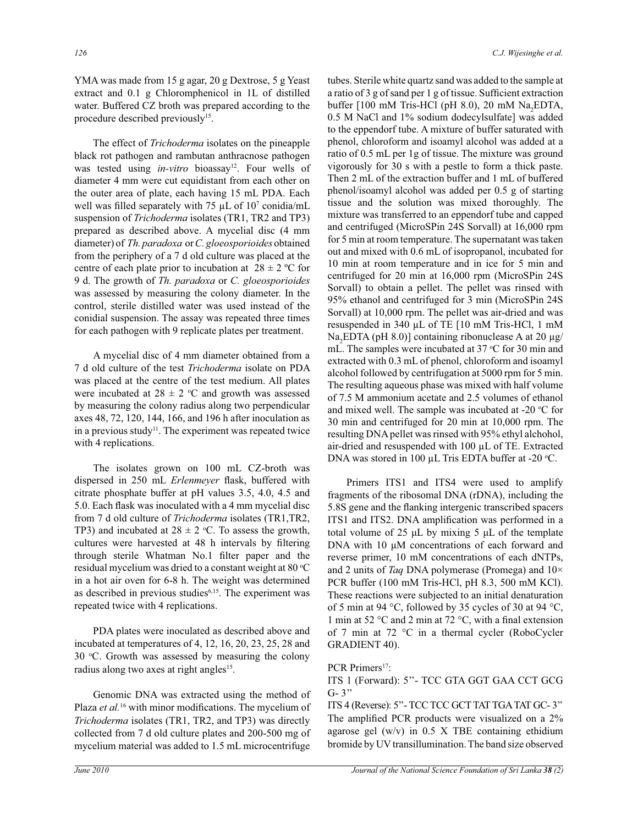YMA was made from 15 g agar, 20 g Dextrose, 5 g Yeast extract and 0.1 g Chloromphenicol in 1L of distilled water. Buffered CZ broth was prepared according to the procedure described previously<sup>15</sup>.

 The effect of *Trichoderma* isolates on the pineapple black rot pathogen and rambutan anthracnose pathogen was tested using *in-vitro* bioassay<sup>12</sup>. Four wells of diameter 4 mm were cut equidistant from each other on the outer area of plate, each having 15 mL PDA. Each well was filled separately with  $75 \mu L$  of  $10^7 \text{ conidia/mL}$ suspension of *Trichoderma* isolates (TR1, TR2 and TP3) prepared as described above. A mycelial disc (4 mm diameter) of *Th. paradoxa* or *C. gloeosporioides* obtained from the periphery of a 7 d old culture was placed at the centre of each plate prior to incubation at  $28 \pm 2$  °C for 9 d. The growth of *Th. paradoxa* or *C. gloeosporioides* was assessed by measuring the colony diameter. In the control, sterile distilled water was used instead of the conidial suspension. The assay was repeated three times for each pathogen with 9 replicate plates per treatment.

A mycelial disc of 4 mm diameter obtained from a 7 d old culture of the test *Trichoderma* isolate on PDA was placed at the centre of the test medium. All plates were incubated at  $28 \pm 2$  °C and growth was assessed by measuring the colony radius along two perpendicular axes 48, 72, 120, 144, 166, and 196 h after inoculation as in a previous study<sup>11</sup>. The experiment was repeated twice with 4 replications.

The isolates grown on 100 mL CZ-broth was dispersed in 250 mL *Erlenmeyer* flask, buffered with citrate phosphate buffer at pH values 3.5, 4.0, 4.5 and 5.0. Each flask was inoculated with a 4 mm mycelial disc from 7 d old culture of *Trichoderma* isolates (TR1,TR2, TP3) and incubated at  $28 \pm 2$  °C. To assess the growth, cultures were harvested at 48 h intervals by filtering through sterile Whatman No.1 filter paper and the residual mycelium was dried to a constant weight at 80  $\mathrm{^{\circ}C}$ in a hot air oven for 6-8 h. The weight was determined as described in previous studies<sup>6,15</sup>. The experiment was repeated twice with 4 replications.

PDA plates were inoculated as described above and incubated at temperatures of 4, 12, 16, 20, 23, 25, 28 and  $30$  °C. Growth was assessed by measuring the colony radius along two axes at right angles<sup>15</sup>.

Genomic DNA was extracted using the method of Plaza *et al.*<sup>16</sup> with minor modifications. The mycelium of *Trichoderma* isolates (TR1, TR2, and TP3) was directly collected from 7 d old culture plates and 200-500 mg of mycelium material was added to 1.5 mL microcentrifuge

tubes. Sterile white quartz sand was added to the sample at a ratio of 3 g of sand per 1 g of tissue. Sufficient extraction buffer [100 mM Tris-HCl (pH 8.0), 20 mM  $\text{Na}_2\text{EDTA}$ , 0.5 M NaCl and 1% sodium dodecylsulfate] was added to the eppendorf tube. A mixture of buffer saturated with phenol, chloroform and isoamyl alcohol was added at a ratio of 0.5 mL per 1g of tissue. The mixture was ground vigorously for 30 s with a pestle to form a thick paste. Then 2 mL of the extraction buffer and 1 mL of buffered phenol/isoamyl alcohol was added per 0.5 g of starting tissue and the solution was mixed thoroughly. The mixture was transferred to an eppendorf tube and capped and centrifuged (MicroSPin 24S Sorvall) at 16,000 rpm for 5 min at room temperature. The supernatant was taken out and mixed with 0.6 mL of isopropanol, incubated for 10 min at room temperature and in ice for 5 min and centrifuged for 20 min at 16,000 rpm (MicroSPin 24S Sorvall) to obtain a pellet. The pellet was rinsed with 95% ethanol and centrifuged for 3 min (MicroSPin 24S Sorvall) at 10,000 rpm. The pellet was air-dried and was resuspended in 340 µL of TE [10 mM Tris-HCl, 1 mM Na<sub>2</sub>EDTA (pH 8.0)] containing ribonuclease A at 20  $\mu$ g/ mL. The samples were incubated at  $37 \text{ °C}$  for  $30 \text{ min}$  and extracted with 0.3 mL of phenol, chloroform and isoamyl alcohol followed by centrifugation at 5000 rpm for 5 min. The resulting aqueous phase was mixed with half volume of 7.5 M ammonium acetate and 2.5 volumes of ethanol and mixed well. The sample was incubated at  $-20$  °C for 30 min and centrifuged for 20 min at 10,000 rpm. The resulting DNA pellet was rinsed with 95% ethyl alchohol, air-dried and resuspended with 100 µL of TE. Extracted DNA was stored in 100  $\mu$ L Tris EDTA buffer at -20 °C.

Primers ITS1 and ITS4 were used to amplify fragments of the ribosomal DNA (rDNA), including the 5.8S gene and the flanking intergenic transcribed spacers ITS1 and ITS2. DNA amplification was performed in a total volume of 25 μL by mixing 5 μL of the template DNA with 10 μM concentrations of each forward and reverse primer, 10 mM concentrations of each dNTPs, and 2 units of *Taq* DNA polymerase (Promega) and 10× PCR buffer (100 mM Tris-HCl, pH 8.3, 500 mM KCl). These reactions were subjected to an initial denaturation of 5 min at 94 °C, followed by 35 cycles of 30 at 94 °C, 1 min at 52 °C and 2 min at 72 °C, with a final extension of 7 min at 72 °C in a thermal cycler (RoboCycler GRADIENT 40).

### PCR Primers<sup>17</sup>:

### ITS 1 (Forward): 5''- TCC GTA GGT GAA CCT GCG  $G-3"$

ITS 4 (Reverse): 5''- TCC TCC GCT TAT TGA TAT GC- 3'' The amplified PCR products were visualized on a 2% agarose gel  $(w/v)$  in 0.5 X TBE containing ethidium bromide by UV transillumination. The band size observed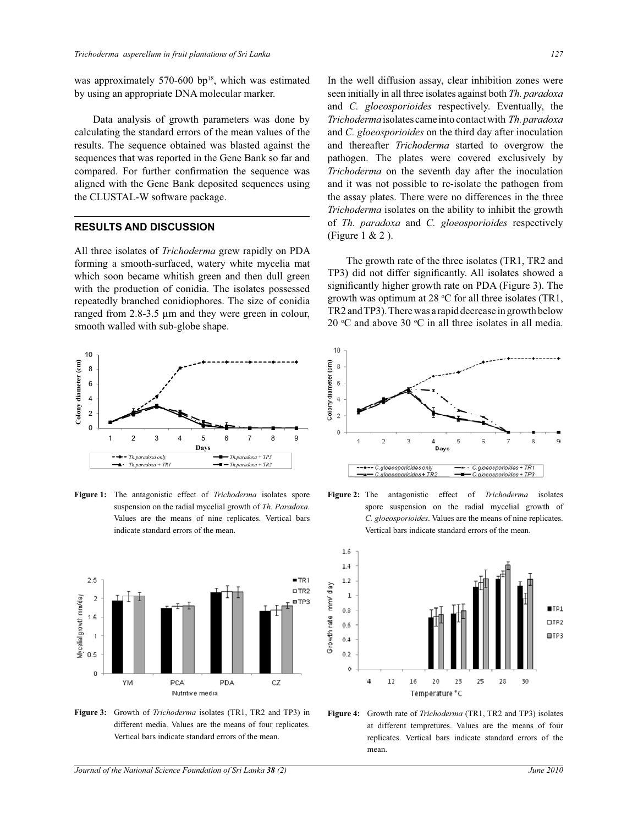was approximately 570-600 bp $18$ , which was estimated by using an appropriate DNA molecular marker.

 Data analysis of growth parameters was done by calculating the standard errors of the mean values of the results. The sequence obtained was blasted against the sequences that was reported in the Gene Bank so far and compared. For further confirmation the sequence was aligned with the Gene Bank deposited sequences using the CLUSTAL-W software package.

# **RESULTS AND DISCUSSION**

All three isolates of *Trichoderma* grew rapidly on PDA forming a smooth-surfaced, watery white mycelia mat which soon became whitish green and then dull green with the production of conidia. The isolates possessed repeatedly branched conidiophores. The size of conidia ranged from 2.8-3.5 µm and they were green in colour, smooth walled with sub-globe shape.



**Figure 1:** The antagonistic effect of *Trichoderma* isolates spore suspension on the radial mycelial growth of *Th. Paradoxa.* Values are the means of nine replicates. Vertical bars indicate standard errors of the mean.



**Figure 3:** Growth of *Trichoderma* isolates (TR1, TR2 and TP3) in different media. Values are the means of four replicates. Vertical bars indicate standard errors of the mean.

In the well diffusion assay, clear inhibition zones were seen initially in all three isolates against both *Th. paradoxa* and *C. gloeosporioides* respectively. Eventually, the *Trichoderma* isolates came into contact with *Th. paradoxa* and *C. gloeosporioides* on the third day after inoculation and thereafter *Trichoderma* started to overgrow the pathogen. The plates were covered exclusively by *Trichoderma* on the seventh day after the inoculation and it was not possible to re-isolate the pathogen from the assay plates. There were no differences in the three *Trichoderma* isolates on the ability to inhibit the growth of *Th. paradoxa* and *C. gloeosporioides* respectively (Figure 1 & 2 ).

 The growth rate of the three isolates (TR1, TR2 and TP3) did not differ significantly. All isolates showed a significantly higher growth rate on PDA (Figure 3). The growth was optimum at 28  $°C$  for all three isolates (TR1, TR2 and TP3). There was a rapid decrease in growth below 20  $\rm{°C}$  and above 30  $\rm{°C}$  in all three isolates in all media.



**Figure 2:** The antagonistic effect of *Trichoderma* isolates spore suspension on the radial mycelial growth of *C. gloeosporioides*. Values are the means of nine replicates. Vertical bars indicate standard errors of the mean.



**Figure 4:** Growth rate of *Trichoderma* (TR1, TR2 and TP3) isolates at different tempretures. Values are the means of four replicates. Vertical bars indicate standard errors of the mean.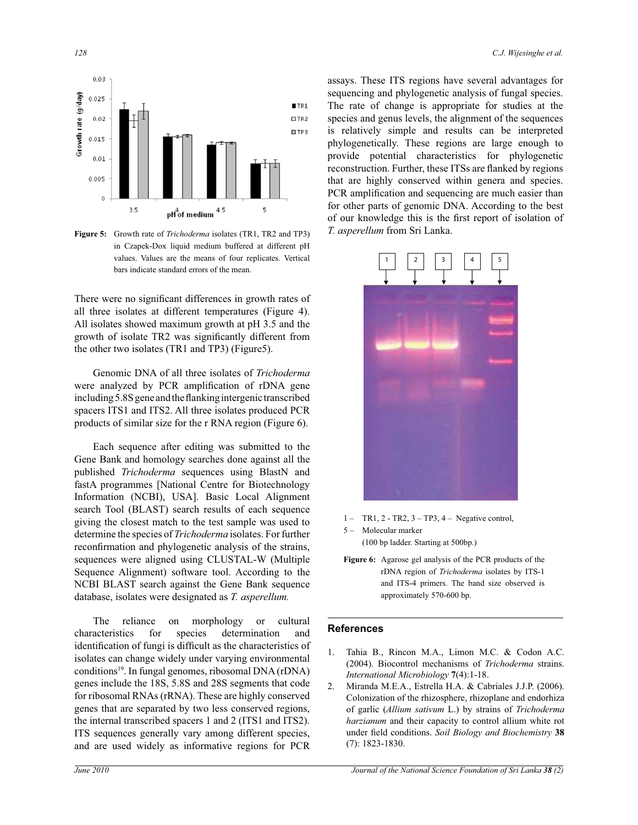

**Figure 5:** Growth rate of *Trichoderma* isolates (TR1, TR2 and TP3) in Czapek-Dox liquid medium buffered at different pH values. Values are the means of four replicates. Vertical bars indicate standard errors of the mean.

There were no significant differences in growth rates of all three isolates at different temperatures (Figure 4). All isolates showed maximum growth at pH 3.5 and the growth of isolate TR2 was significantly different from the other two isolates (TR1 and TP3) (Figure5).

 Genomic DNA of all three isolates of *Trichoderma* were analyzed by PCR amplification of rDNA gene including 5.8S gene and the flanking intergenic transcribed spacers ITS1 and ITS2. All three isolates produced PCR products of similar size for the r RNA region (Figure 6).

 Each sequence after editing was submitted to the Gene Bank and homology searches done against all the published *Trichoderma* sequences using BlastN and fastA programmes [National Centre for Biotechnology Information (NCBI), USA]. Basic Local Alignment search Tool (BLAST) search results of each sequence giving the closest match to the test sample was used to determine the species of *Trichoderma* isolates. For further reconfirmation and phylogenetic analysis of the strains, sequences were aligned using CLUSTAL-W (Multiple Sequence Alignment) software tool. According to the NCBI BLAST search against the Gene Bank sequence database, isolates were designated as *T. asperellum.* 

 The reliance on morphology or cultural characteristics for species determination and identification of fungi is difficult as the characteristics of isolates can change widely under varying environmental conditions<sup>19</sup>. In fungal genomes, ribosomal DNA (rDNA) genes include the 18S, 5.8S and 28S segments that code for ribosomal RNAs (rRNA). These are highly conserved genes that are separated by two less conserved regions, the internal transcribed spacers 1 and 2 (ITS1 and ITS2). ITS sequences generally vary among different species, and are used widely as informative regions for PCR

assays. These ITS regions have several advantages for sequencing and phylogenetic analysis of fungal species. The rate of change is appropriate for studies at the species and genus levels, the alignment of the sequences is relatively simple and results can be interpreted phylogenetically. These regions are large enough to provide potential characteristics for phylogenetic reconstruction. Further, these ITSs are flanked by regions that are highly conserved within genera and species. PCR amplification and sequencing are much easier than for other parts of genomic DNA. According to the best of our knowledge this is the first report of isolation of *T. asperellum* from Sri Lanka.



 $1 - TR1, 2 - TR2, 3 - TP3, 4 - Negative control,$ 

5 – Molecular marker

(100 bp ladder. Starting at 500bp.)

**Figure 6:** Agarose gel analysis of the PCR products of the rDNA region of *Trichoderma* isolates by ITS-1 and ITS-4 primers. The band size observed is approximately 570-600 bp.

#### **References**

- 1. Tahia B., Rincon M.A., Limon M.C. & Codon A.C. (2004). Biocontrol mechanisms of *Trichoderma* strains. *International Microbiology* **7**(4):1-18.
- 2. Miranda M.E.A., Estrella H.A. & Cabriales J.J.P. (2006). Colonization of the rhizosphere, rhizoplane and endorhiza of garlic (*Allium sativum* L.) by strains of *Trichoderma harzianum* and their capacity to control allium white rot under field conditions. *Soil Biology and Biochemistry* **38**  (7): 1823-1830.